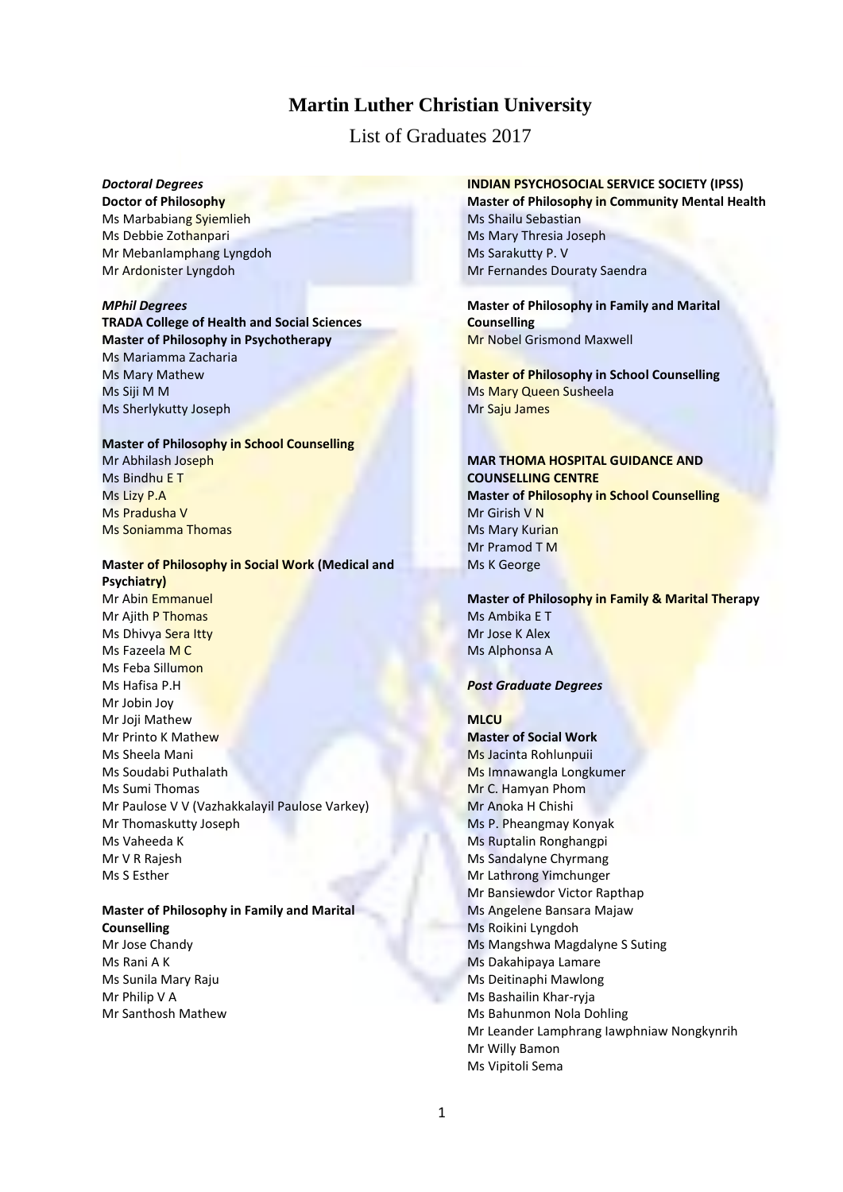# **Martin Luther Christian University**

List of Graduates 2017

# *Doctoral Degrees*

**Doctor of Philosophy** Ms Marbabiang Syiemlieh Ms Debbie Zothanpari Mr Mebanlamphang Lyngdoh Mr Ardonister Lyngdoh

## *MPhil Degrees*

**TRADA College of Health and Social Sciences Master of Philosophy in Psychotherapy** Ms Mariamma Zacharia Ms Mary Mathew Ms Siji M M Ms Sherlykutty Joseph

# **Master of Philosophy in School Counselling**

Mr Abhilash Joseph Ms Bindhu E T Ms Lizy P.A Ms Pradusha V Ms Soniamma Thomas

# **Master of Philosophy in Social Work (Medical and Psychiatry)**

Mr Abin Emmanuel Mr Ajith P Thomas Ms Dhivya Sera Itty Ms Fazeela M C Ms Feba Sillumon Ms Hafisa P.H Mr Jobin Joy Mr Joji Mathew Mr Printo K Mathew Ms Sheela Mani Ms Soudabi Puthalath Ms Sumi Thomas Mr Paulose V V (Vazhakkalayil Paulose Varkey) Mr Thomaskutty Joseph Ms Vaheeda K Mr V R Rajesh Ms S Esther

## **Master of Philosophy in Family and Marital Counselling**

Mr Jose Chandy Ms Rani A K Ms Sunila Mary Raju Mr Philip V A Mr Santhosh Mathew

# **INDIAN PSYCHOSOCIAL SERVICE SOCIETY (IPSS)**

**Master of Philosophy in Community Mental Health** Ms Shailu Sebastian Ms Mary Thresia Joseph Ms Sarakutty P. V Mr Fernandes Douraty Saendra

**Master of Philosophy in Family and Marital Counselling** Mr Nobel Grismond Maxwell

**Master of Philosophy in School Counselling**  Ms Mary Queen Susheela Mr Saju James

## **MAR THOMA HOSPITAL GUIDANCE AND COUNSELLING CENTRE Master of Philosophy in School Counselling**  Mr Girish V N Ms Mary Kurian Mr Pramod T M Ms K George

**Master of Philosophy in Family & Marital Therapy** Ms Ambika E T Mr Jose K Alex Ms Alphonsa A

#### *Post Graduate Degrees*

#### **MLCU**

**Master of Social Work** Ms Jacinta Rohlunpuii Ms Imnawangla Longkumer Mr C. Hamyan Phom Mr Anoka H Chishi Ms P. Pheangmay Konyak Ms Ruptalin Ronghangpi Ms Sandalyne Chyrmang Mr Lathrong Yimchunger Mr Bansiewdor Victor Rapthap Ms Angelene Bansara Majaw Ms Roikini Lyngdoh Ms Mangshwa Magdalyne S Suting Ms Dakahipaya Lamare Ms Deitinaphi Mawlong Ms Bashailin Khar-ryja Ms Bahunmon Nola Dohling Mr Leander Lamphrang Iawphniaw Nongkynrih Mr Willy Bamon Ms Vipitoli Sema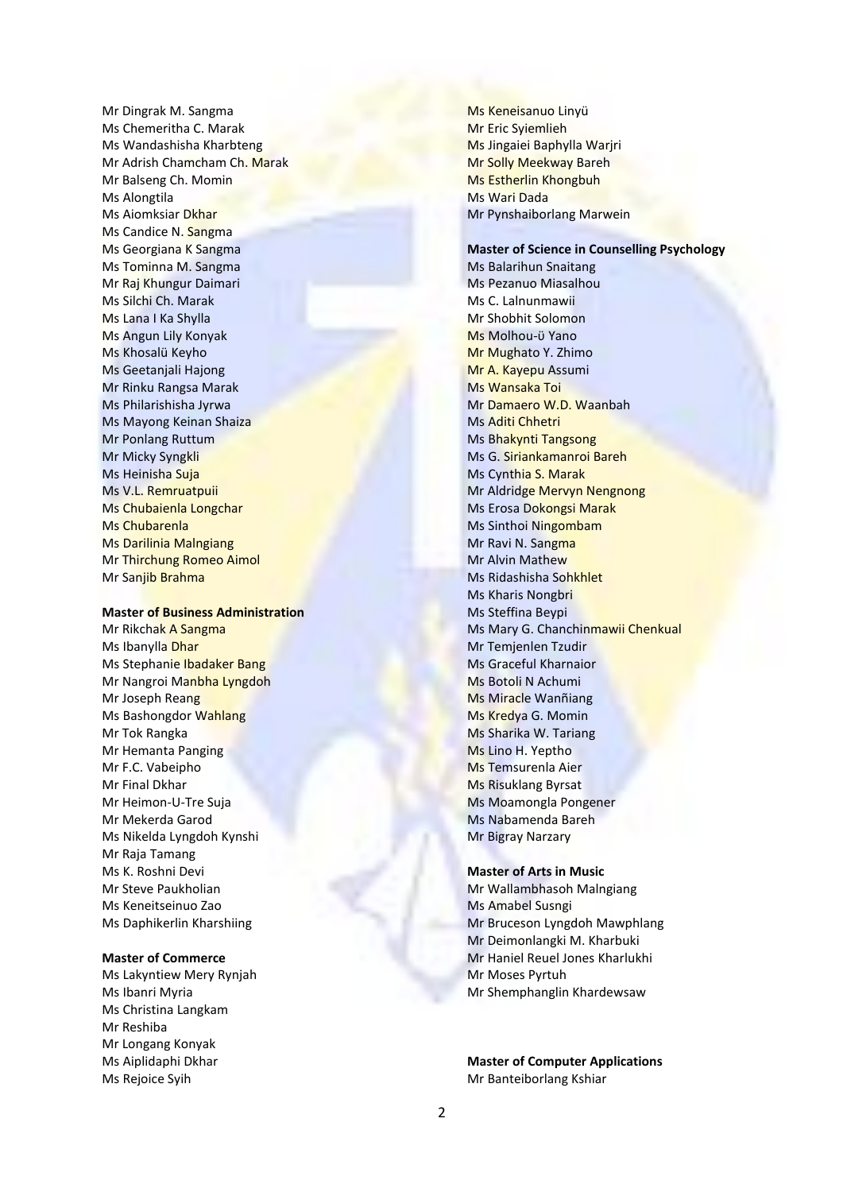Mr Dingrak M. Sangma Ms Chemeritha C. Marak Ms Wandashisha Kharbteng Mr Adrish Chamcham Ch. Marak Mr Balseng Ch. Momin Ms Alongtila Ms Aiomksiar Dkhar Ms Candice N. Sangma Ms Georgiana K Sangma Ms Tominna M. Sangma Mr Raj Khungur Daimari Ms Silchi Ch. Marak Ms Lana I Ka Shylla Ms Angun Lily Konyak Ms Khosalü Keyho Ms Geetanjali Hajong Mr Rinku Rangsa Marak Ms Philarishisha Jyrwa Ms Mayong Keinan Shaiza Mr Ponlang Ruttum Mr Micky Syngkli Ms Heinisha Suja Ms V.L. Remruatpuii Ms Chubaienla Longchar Ms Chubarenla Ms Darilinia Malngiang Mr Thirchung Romeo Aimol Mr Sanjib Brahma

## **Master of Business Administration**

Mr Rikchak A Sangma Ms Ibanylla Dhar Ms Stephanie Ibadaker Bang Mr Nangroi Manbha Lyngdoh Mr Joseph Reang Ms Bashongdor Wahlang Mr Tok Rangka Mr Hemanta Panging Mr F.C. Vabeipho Mr Final Dkhar Mr Heimon-U-Tre Suja Mr Mekerda Garod Ms Nikelda Lyngdoh Kynshi Mr Raja Tamang Ms K. Roshni Devi Mr Steve Paukholian Ms Keneitseinuo Zao Ms Daphikerlin Kharshiing

#### **Master of Commerce**

Ms Lakyntiew Mery Rynjah Ms Ibanri Myria Ms Christina Langkam Mr Reshiba Mr Longang Konyak Ms Aiplidaphi Dkhar Ms Rejoice Syih

Ms Keneisanuo Linyü Mr Eric Syiemlieh Ms Jingaiei Baphylla Warjri Mr Solly Meekway Bareh Ms Estherlin Khongbuh Ms Wari Dada Mr Pynshaiborlang Marwein

**Master of Science in Counselling Psychology** Ms Balarihun Snaitang Ms Pezanuo Miasalhou Ms C. Lalnunmawii Mr Shobhit Solomon Ms Molhou-ϋ Yano Mr Mughato Y. Zhimo Mr A. Kayepu Assumi Ms Wansaka Toi Mr Damaero W.D. Waanbah Ms Aditi Chhetri Ms Bhakynti Tangsong Ms G. Siriankamanroi Bareh Ms Cynthia S. Marak Mr Aldridge Mervyn Nengnong Ms Erosa Dokongsi Marak Ms Sinthoi Ningombam Mr Ravi N. Sangma Mr Alvin Mathew Ms Ridashisha Sohkhlet Ms Kharis Nongbri Ms Steffina Beypi Ms Mary G. Chanchinmawii Chenkual Mr Temjenlen Tzudir Ms Graceful Kharnaior Ms Botoli N Achumi Ms Miracle Wanñiang Ms Kredya G. Momin Ms Sharika W. Tariang Ms Lino H. Yeptho Ms Temsurenla Aier Ms Risuklang Byrsat Ms Moamongla Pongener Ms Nabamenda Bareh Mr Bigray Narzary

## **Master of Arts in Music**

Mr Wallambhasoh Malngiang Ms Amabel Susngi Mr Bruceson Lyngdoh Mawphlang Mr Deimonlangki M. Kharbuki Mr Haniel Reuel Jones Kharlukhi Mr Moses Pyrtuh Mr Shemphanglin Khardewsaw

**Master of Computer Applications** Mr Banteiborlang Kshiar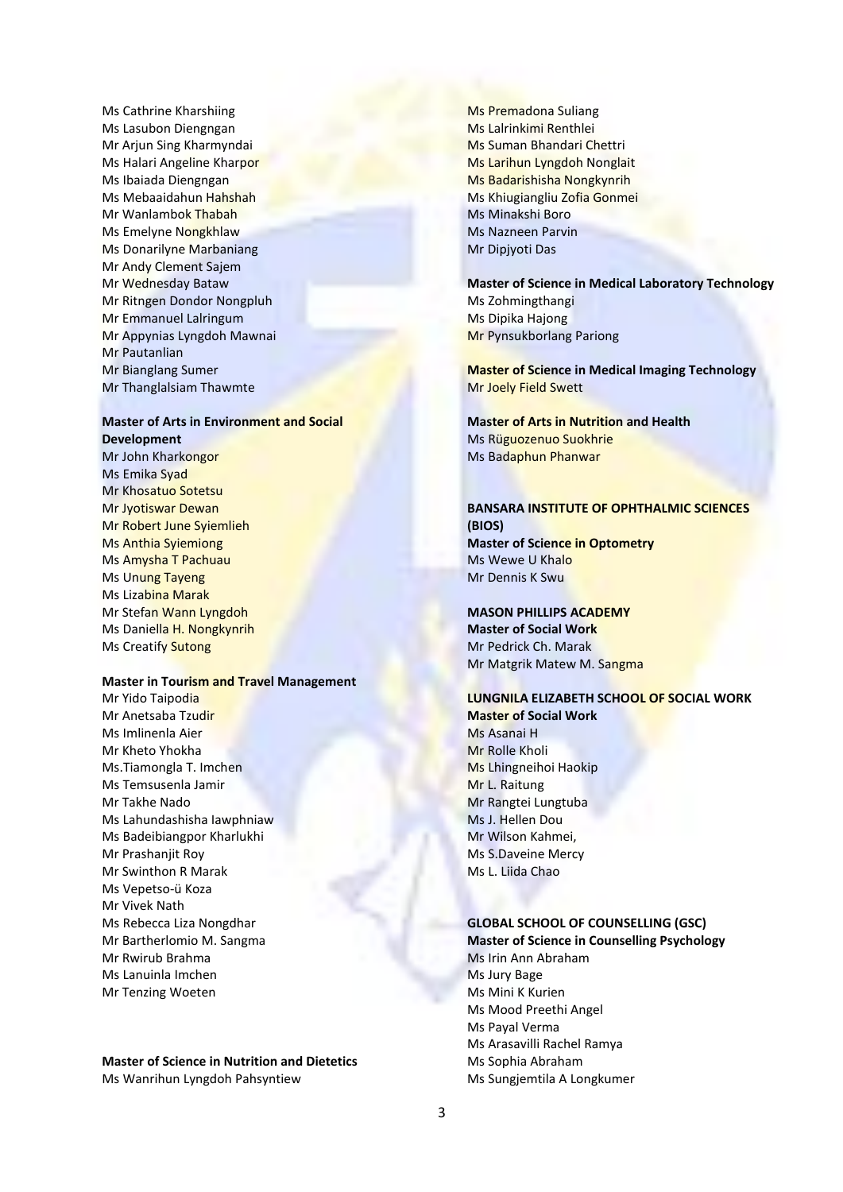Ms Cathrine Kharshiing Ms Lasubon Diengngan Mr Arjun Sing Kharmyndai Ms Halari Angeline Kharpor Ms Ibaiada Diengngan Ms Mebaaidahun Hahshah Mr Wanlambok Thabah Ms Emelyne Nongkhlaw Ms Donarilyne Marbaniang Mr Andy Clement Sajem Mr Wednesday Bataw Mr Ritngen Dondor Nongpluh Mr Emmanuel Lalringum Mr Appynias Lyngdoh Mawnai Mr Pautanlian Mr Bianglang Sumer Mr Thanglalsiam Thawmte

#### **Master of Arts in Environment and Social Development**

Mr John Kharkongor Ms Emika Syad Mr Khosatuo Sotetsu Mr Jyotiswar Dewan Mr Robert June Syiemlieh Ms Anthia Syiemiong Ms Amysha T Pachuau Ms Unung Tayeng Ms Lizabina Marak Mr Stefan Wann Lyngdoh Ms Daniella H. Nongkynrih Ms Creatify Sutong

#### **Master in Tourism and Travel Management**

Mr Yido Taipodia Mr Anetsaba Tzudir Ms Imlinenla Aier Mr Kheto Yhokha Ms.Tiamongla T. Imchen Ms Temsusenla Jamir Mr Takhe Nado Ms Lahundashisha Iawphniaw Ms Badeibiangpor Kharlukhi Mr Prashanjit Roy Mr Swinthon R Marak Ms Vepetso-ü Koza Mr Vivek Nath Ms Rebecca Liza Nongdhar Mr Bartherlomio M. Sangma Mr Rwirub Brahma Ms Lanuinla Imchen Mr Tenzing Woeten

# **Master of Science in Nutrition and Dietetics**

Ms Wanrihun Lyngdoh Pahsyntiew

Ms Premadona Suliang Ms Lalrinkimi Renthlei Ms Suman Bhandari Chettri Ms Larihun Lyngdoh Nonglait Ms Badarishisha Nongkynrih Ms Khiugiangliu Zofia Gonmei Ms Minakshi Boro Ms Nazneen Parvin Mr Dipjyoti Das

**Master of Science in Medical Laboratory Technology** Ms Zohmingthangi Ms Dipika Hajong Mr Pynsukborlang Pariong

**Master of Science in Medical Imaging Technology** Mr Joely Field Swett

**Master of Arts in Nutrition and Health** Ms Rüguozenuo Suokhrie Ms Badaphun Phanwar

## **BANSARA INSTITUTE OF OPHTHALMIC SCIENCES (BIOS) Master of Science in Optometry** Ms Wewe U Khalo Mr Dennis K Swu

## **MASON PHILLIPS ACADEMY**

**Master of Social Work** Mr Pedrick Ch. Marak Mr Matgrik Matew M. Sangma

# **LUNGNILA ELIZABETH SCHOOL OF SOCIAL WORK**

**Master of Social Work** Ms Asanai H Mr Rolle Kholi Ms Lhingneihoi Haokip Mr L. Raitung Mr Rangtei Lungtuba Ms J. Hellen Dou Mr Wilson Kahmei, Ms S.Daveine Mercy Ms L. Liida Chao

## **GLOBAL SCHOOL OF COUNSELLING (GSC)**

**Master of Science in Counselling Psychology** Ms Irin Ann Abraham Ms Jury Bage Ms Mini K Kurien Ms Mood Preethi Angel Ms Payal Verma Ms Arasavilli Rachel Ramya Ms Sophia Abraham Ms Sungjemtila A Longkumer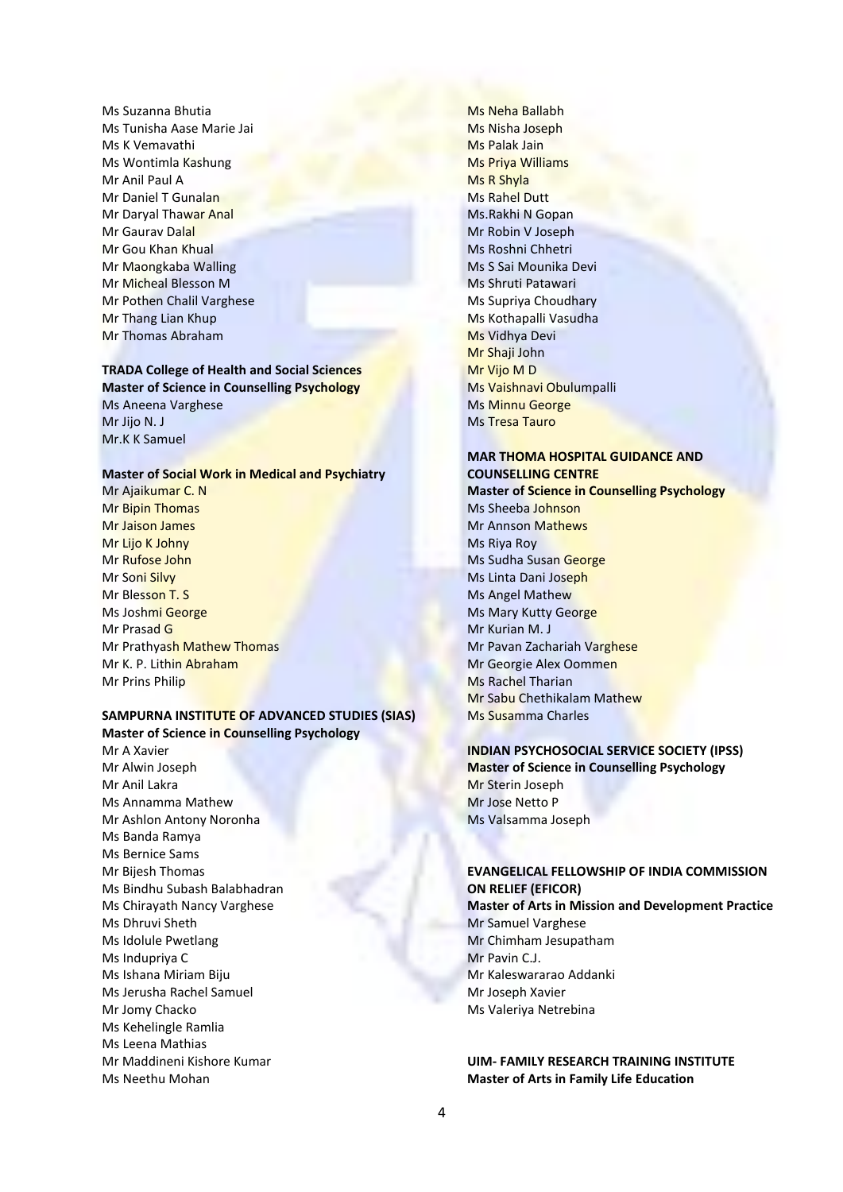Ms Suzanna Bhutia Ms Tunisha Aase Marie Jai Ms K Vemavathi Ms Wontimla Kashung Mr Anil Paul A Mr Daniel T Gunalan Mr Daryal Thawar Anal Mr Gaurav Dalal Mr Gou Khan Khual Mr Maongkaba Walling Mr Micheal Blesson M Mr Pothen Chalil Varghese Mr Thang Lian Khup Mr Thomas Abraham

## **TRADA College of Health and Social Sciences Master of Science in Counselling Psychology**

Ms Aneena Varghese Mr Jijo N. J Mr.K K Samuel

## **Master of Social Work in Medical and Psychiatry**

Mr Ajaikumar C. N Mr Bipin Thomas Mr Jaison James Mr Lijo K Johny Mr Rufose John Mr Soni Silvy Mr Blesson T. S Ms Joshmi George Mr Prasad G Mr Prathyash Mathew Thomas Mr K. P. Lithin Abraham Mr Prins Philip

## **SAMPURNA INSTITUTE OF ADVANCED STUDIES (SIAS) Master of Science in Counselling Psychology**

Mr A Xavier Mr Alwin Joseph Mr Anil Lakra Ms Annamma Mathew Mr Ashlon Antony Noronha Ms Banda Ramya Ms Bernice Sams Mr Bijesh Thomas Ms Bindhu Subash Balabhadran Ms Chirayath Nancy Varghese Ms Dhruvi Sheth Ms Idolule Pwetlang Ms Indupriya C Ms Ishana Miriam Biju Ms Jerusha Rachel Samuel Mr Jomy Chacko Ms Kehelingle Ramlia Ms Leena Mathias Mr Maddineni Kishore Kumar Ms Neethu Mohan

Ms Neha Ballabh Ms Nisha Joseph Ms Palak Jain Ms Priya Williams Ms R Shyla Ms Rahel Dutt Ms.Rakhi N Gopan Mr Robin V Joseph Ms Roshni Chhetri Ms S Sai Mounika Devi Ms Shruti Patawari Ms Supriya Choudhary Ms Kothapalli Vasudha Ms Vidhya Devi Mr Shaji John Mr Vijo M D Ms Vaishnavi Obulumpalli Ms Minnu George Ms Tresa Tauro

# **MAR THOMA HOSPITAL GUIDANCE AND COUNSELLING CENTRE**

**Master of Science in Counselling Psychology** Ms Sheeba Johnson Mr Annson Mathews Ms Riya Roy Ms Sudha Susan George Ms Linta Dani Joseph Ms Angel Mathew Ms Mary Kutty George Mr Kurian M. J Mr Pavan Zachariah Varghese Mr Georgie Alex Oommen Ms Rachel Tharian Mr Sabu Chethikalam Mathew Ms Susamma Charles

## **INDIAN PSYCHOSOCIAL SERVICE SOCIETY (IPSS) Master of Science in Counselling Psychology** Mr Sterin Joseph

Mr Jose Netto P Ms Valsamma Joseph

## **EVANGELICAL FELLOWSHIP OF INDIA COMMISSION ON RELIEF (EFICOR)**

**Master of Arts in Mission and Development Practice** Mr Samuel Varghese Mr Chimham Jesupatham Mr Pavin C.J. Mr Kaleswararao Addanki Mr Joseph Xavier Ms Valeriya Netrebina

## **UIM- FAMILY RESEARCH TRAINING INSTITUTE Master of Arts in Family Life Education**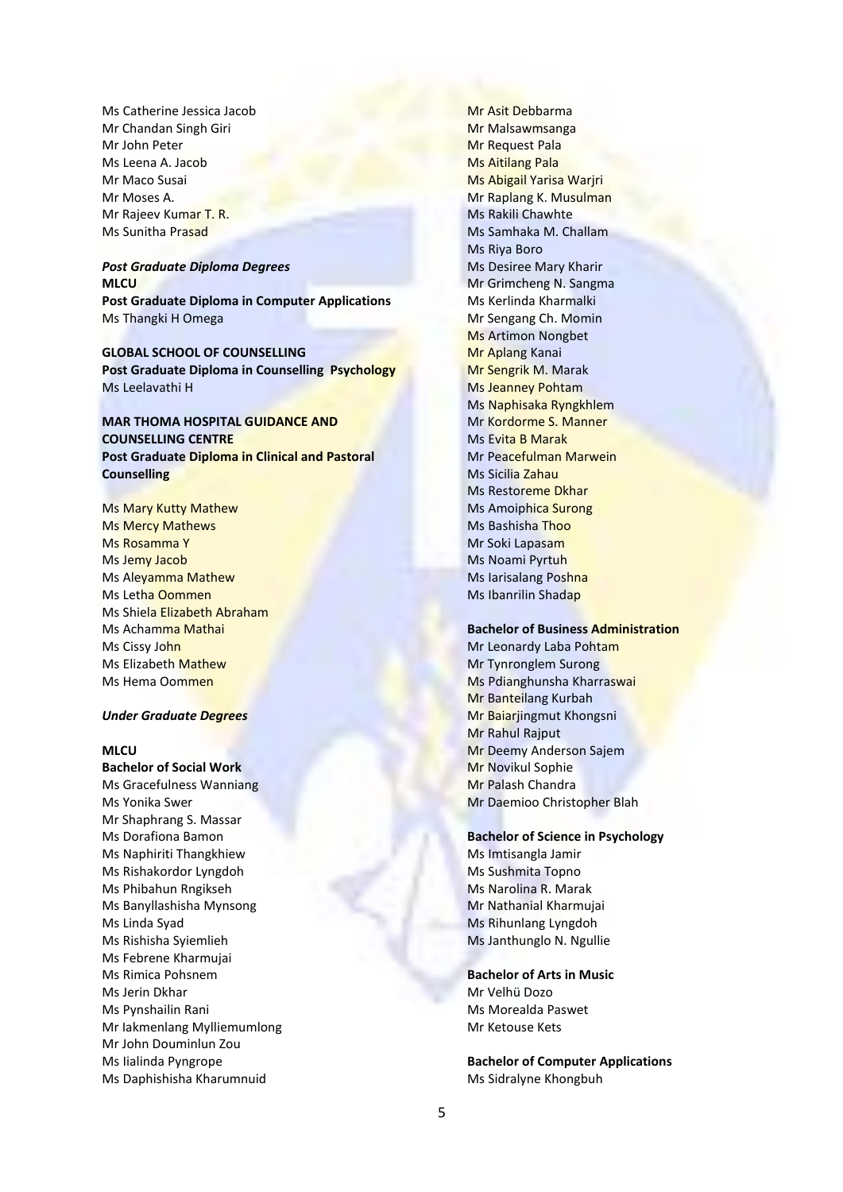Ms Catherine Jessica Jacob Mr Chandan Singh Giri Mr John Peter Ms Leena A. Jacob Mr Maco Susai Mr Moses A. Mr Rajeev Kumar T. R. Ms Sunitha Prasad

#### *Post Graduate Diploma Degrees* **MLCU**

**Post Graduate Diploma in Computer Applications** Ms Thangki H Omega

**GLOBAL SCHOOL OF COUNSELLING Post Graduate Diploma in Counselling Psychology** Ms Leelavathi H

## **MAR THOMA HOSPITAL GUIDANCE AND COUNSELLING CENTRE Post Graduate Diploma in Clinical and Pastoral Counselling**

Ms Mary Kutty Mathew Ms Mercy Mathews Ms Rosamma Y Ms Jemy Jacob Ms Aleyamma Mathew Ms Letha Oommen Ms Shiela Elizabeth Abraham Ms Achamma Mathai Ms Cissy John Ms Elizabeth Mathew Ms Hema Oommen

#### *Under Graduate Degrees*

## **MLCU**

**Bachelor of Social Work** Ms Gracefulness Wanniang Ms Yonika Swer Mr Shaphrang S. Massar Ms Dorafiona Bamon Ms Naphiriti Thangkhiew Ms Rishakordor Lyngdoh Ms Phibahun Rngikseh Ms Banyllashisha Mynsong Ms Linda Syad Ms Rishisha Syiemlieh Ms Febrene Kharmujai Ms Rimica Pohsnem Ms Jerin Dkhar Ms Pynshailin Rani Mr Iakmenlang Mylliemumlong Mr John Douminlun Zou Ms Iialinda Pyngrope Ms Daphishisha Kharumnuid

Mr Asit Debbarma Mr Malsawmsanga Mr Request Pala Ms Aitilang Pala Ms Abigail Yarisa Warjri Mr Raplang K. Musulman Ms Rakili Chawhte Ms Samhaka M. Challam Ms Riya Boro Ms Desiree Mary Kharir Mr Grimcheng N. Sangma Ms Kerlinda Kharmalki Mr Sengang Ch. Momin Ms Artimon Nongbet Mr Aplang Kanai Mr Sengrik M. Marak Ms Jeanney Pohtam Ms Naphisaka Ryngkhlem Mr Kordorme S. Manner Ms Evita B Marak Mr Peacefulman Marwein Ms Sicilia Zahau Ms Restoreme Dkhar Ms Amoiphica Surong Ms Bashisha Thoo Mr Soki Lapasam Ms Noami Pyrtuh Ms Iarisalang Poshna Ms Ibanrilin Shadap

#### **Bachelor of Business Administration**

Mr Leonardy Laba Pohtam Mr Tynronglem Surong Ms Pdianghunsha Kharraswai Mr Banteilang Kurbah Mr Baiarjingmut Khongsni Mr Rahul Rajput Mr Deemy Anderson Sajem Mr Novikul Sophie Mr Palash Chandra Mr Daemioo Christopher Blah

#### **Bachelor of Science in Psychology**

Ms Imtisangla Jamir Ms Sushmita Topno Ms Narolina R. Marak Mr Nathanial Kharmujai Ms Rihunlang Lyngdoh Ms Janthunglo N. Ngullie

**Bachelor of Arts in Music** Mr Velhü Dozo Ms Morealda Paswet Mr Ketouse Kets

**Bachelor of Computer Applications** Ms Sidralyne Khongbuh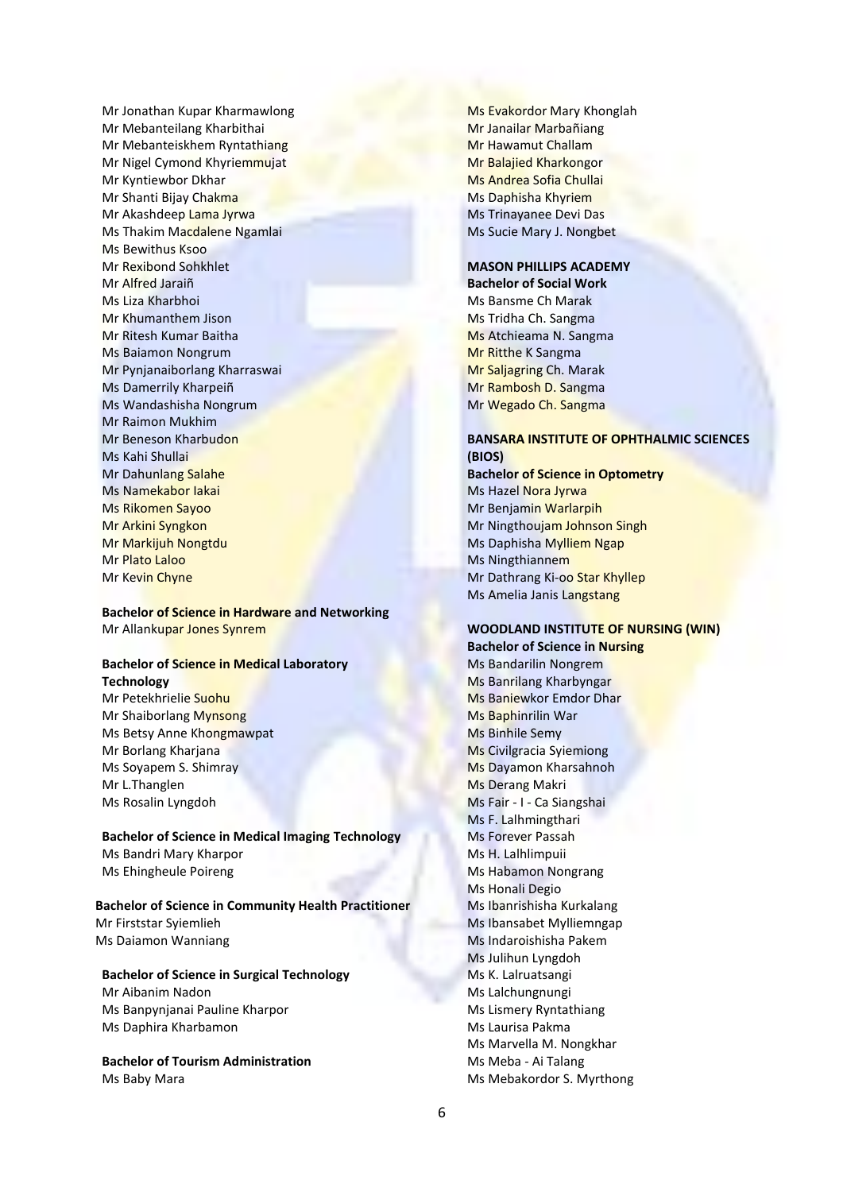Mr Jonathan Kupar Kharmawlong Mr Mebanteilang Kharbithai Mr Mebanteiskhem Ryntathiang Mr Nigel Cymond Khyriemmujat Mr Kyntiewbor Dkhar Mr Shanti Bijay Chakma Mr Akashdeep Lama Jyrwa Ms Thakim Macdalene Ngamlai Ms Bewithus Ksoo Mr Rexibond Sohkhlet Mr Alfred Jaraiñ Ms Liza Kharbhoi Mr Khumanthem Jison Mr Ritesh Kumar Baitha Ms Baiamon Nongrum Mr Pynjanaiborlang Kharraswai Ms Damerrily Kharpeiñ Ms Wandashisha Nongrum Mr Raimon Mukhim Mr Beneson Kharbudon Ms Kahi Shullai Mr Dahunlang Salahe Ms Namekabor Iakai Ms Rikomen Sayoo Mr Arkini Syngkon Mr Markijuh Nongtdu Mr Plato Laloo Mr Kevin Chyne

**Bachelor of Science in Hardware and Networking** Mr Allankupar Jones Synrem

#### **Bachelor of Science in Medical Laboratory Technology**

Mr Petekhrielie Suohu Mr Shaiborlang Mynsong Ms Betsy Anne Khongmawpat Mr Borlang Kharjana Ms Soyapem S. Shimray Mr L.Thanglen Ms Rosalin Lyngdoh

**Bachelor of Science in Medical Imaging Technology** Ms Bandri Mary Kharpor Ms Ehingheule Poireng

**Bachelor of Science in Community Health Practitioner** Mr Firststar Syiemlieh Ms Daiamon Wanniang

**Bachelor of Science in Surgical Technology** Mr Aibanim Nadon Ms Banpynjanai Pauline Kharpor Ms Daphira Kharbamon

**Bachelor of Tourism Administration** Ms Baby Mara

Ms Evakordor Mary Khonglah Mr Janailar Marbañiang Mr Hawamut Challam Mr Balajied Kharkongor Ms Andrea Sofia Chullai Ms Daphisha Khyriem Ms Trinayanee Devi Das Ms Sucie Mary J. Nongbet

## **MASON PHILLIPS ACADEMY**

**Bachelor of Social Work** Ms Bansme Ch Marak Ms Tridha Ch. Sangma Ms Atchieama N. Sangma Mr Ritthe K Sangma Mr Saljagring Ch. Marak Mr Rambosh D. Sangma Mr Wegado Ch. Sangma

## **BANSARA INSTITUTE OF OPHTHALMIC SCIENCES (BIOS)**

**Bachelor of Science in Optometry** Ms Hazel Nora Jyrwa Mr Benjamin Warlarpih Mr Ningthoujam Johnson Singh Ms Daphisha Mylliem Ngap Ms Ningthiannem Mr Dathrang Ki-oo Star Khyllep Ms Amelia Janis Langstang

## **WOODLAND INSTITUTE OF NURSING (WIN) Bachelor of Science in Nursing**

Ms Bandarilin Nongrem Ms Banrilang Kharbyngar Ms Baniewkor Emdor Dhar Ms Baphinrilin War Ms Binhile Semy Ms Civilgracia Syiemiong Ms Dayamon Kharsahnoh Ms Derang Makri Ms Fair - I - Ca Siangshai Ms F. Lalhmingthari Ms Forever Passah Ms H. Lalhlimpuii Ms Habamon Nongrang Ms Honali Degio Ms Ibanrishisha Kurkalang Ms Ibansabet Mylliemngap Ms Indaroishisha Pakem Ms Julihun Lyngdoh Ms K. Lalruatsangi Ms Lalchungnungi Ms Lismery Ryntathiang Ms Laurisa Pakma Ms Marvella M. Nongkhar Ms Meba - Ai Talang Ms Mebakordor S. Myrthong